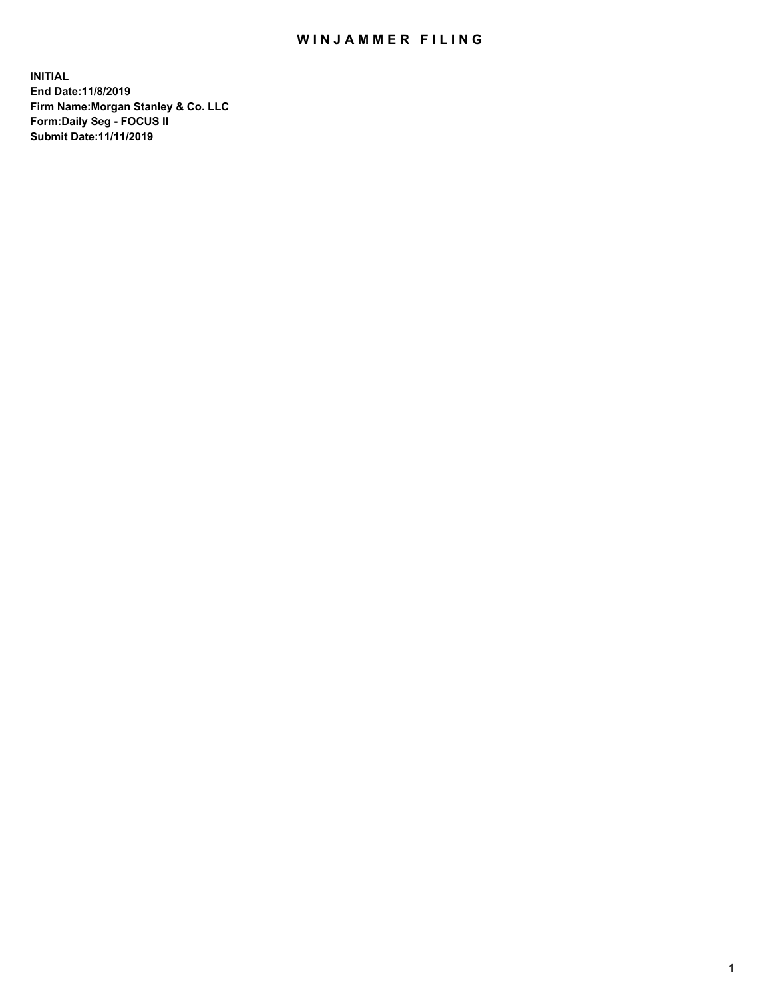## WIN JAMMER FILING

**INITIAL End Date:11/8/2019 Firm Name:Morgan Stanley & Co. LLC Form:Daily Seg - FOCUS II Submit Date:11/11/2019**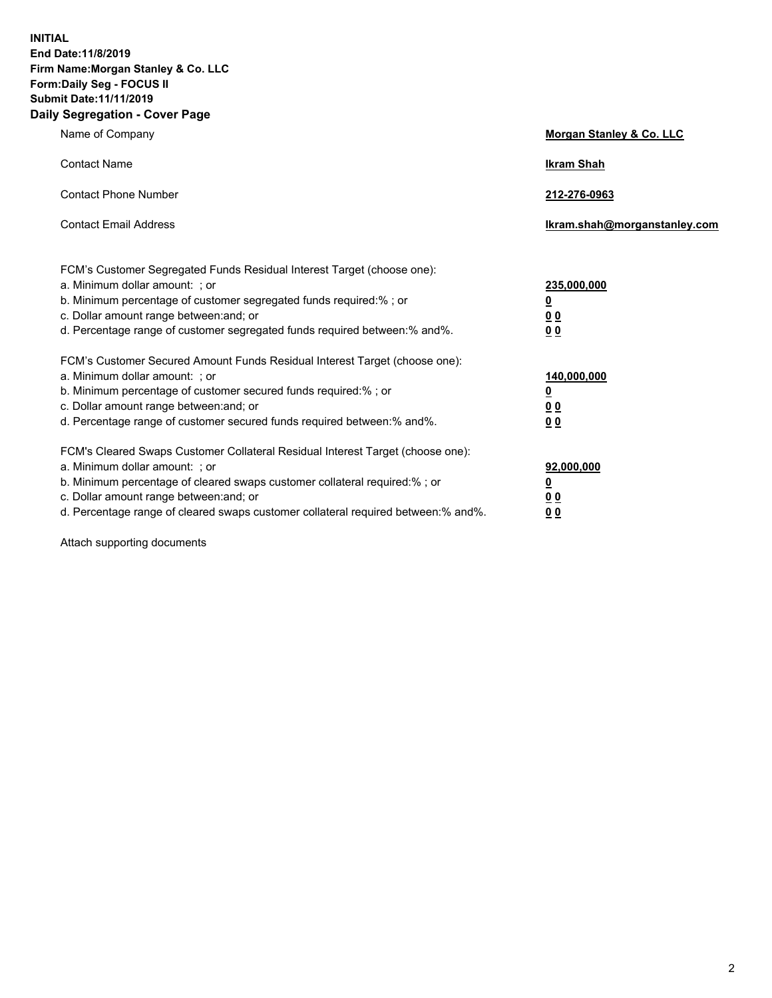**INITIAL End Date:11/8/2019 Firm Name:Morgan Stanley & Co. LLC Form:Daily Seg - FOCUS II Submit Date:11/11/2019 Daily Segregation - Cover Page**

| Name of Company                                                                   | Morgan Stanley & Co. LLC     |
|-----------------------------------------------------------------------------------|------------------------------|
| <b>Contact Name</b>                                                               | <b>Ikram Shah</b>            |
| <b>Contact Phone Number</b>                                                       | 212-276-0963                 |
| <b>Contact Email Address</b>                                                      | Ikram.shah@morganstanley.com |
| FCM's Customer Segregated Funds Residual Interest Target (choose one):            |                              |
| a. Minimum dollar amount: ; or                                                    | 235,000,000                  |
| b. Minimum percentage of customer segregated funds required:% ; or                | <u>0</u>                     |
| c. Dollar amount range between: and; or                                           | <u>0 0</u>                   |
| d. Percentage range of customer segregated funds required between: % and %.       | 00                           |
| FCM's Customer Secured Amount Funds Residual Interest Target (choose one):        |                              |
| a. Minimum dollar amount: ; or                                                    | 140,000,000                  |
| b. Minimum percentage of customer secured funds required:%; or                    | <u>0</u>                     |
| c. Dollar amount range between: and; or                                           | 0 <sub>0</sub>               |
| d. Percentage range of customer secured funds required between:% and%.            | 0 <sub>0</sub>               |
| FCM's Cleared Swaps Customer Collateral Residual Interest Target (choose one):    |                              |
| a. Minimum dollar amount: ; or                                                    | 92,000,000                   |
| b. Minimum percentage of cleared swaps customer collateral required:% ; or        | <u>0</u>                     |
| c. Dollar amount range between: and; or                                           | 0 Q                          |
| d. Percentage range of cleared swaps customer collateral required between:% and%. | 00                           |

Attach supporting documents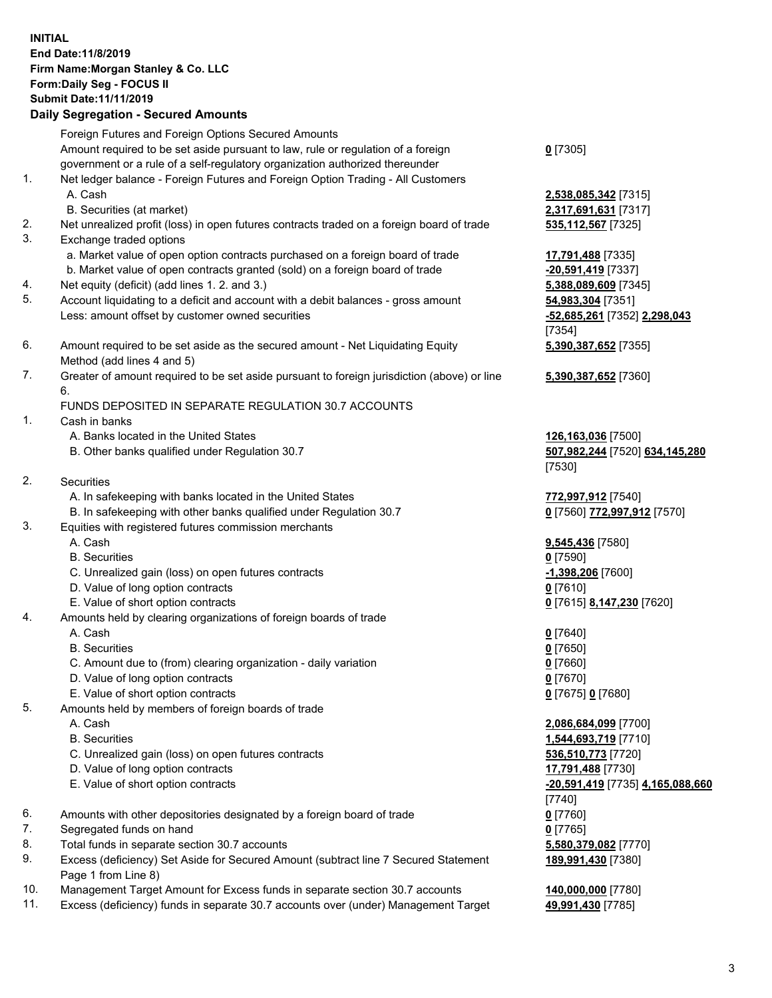## **INITIAL End Date:11/8/2019 Firm Name:Morgan Stanley & Co. LLC Form:Daily Seg - FOCUS II Submit Date:11/11/2019**

## **Daily Segregation - Secured Amounts**

Foreign Futures and Foreign Options Secured Amounts Amount required to be set aside pursuant to law, rule or regulation of a foreign government or a rule of a self-regulatory organization authorized thereunder 1. Net ledger balance - Foreign Futures and Foreign Option Trading - All Customers A. Cash **2,538,085,342** [7315] B. Securities (at market) **2,317,691,631** [7317] 2. Net unrealized profit (loss) in open futures contracts traded on a foreign board of trade **535,112,567** [7325] 3. Exchange traded options a. Market value of open option contracts purchased on a foreign board of trade **17,791,488** [7335] b. Market value of open contracts granted (sold) on a foreign board of trade **-20,591,419** [7337] 4. Net equity (deficit) (add lines 1. 2. and 3.) **5,388,089,609** [7345] 5. Account liquidating to a deficit and account with a debit balances - gross amount **54,983,304** [7351] Less: amount offset by customer owned securities **-52,685,261** [7352] **2,298,043** 6. Amount required to be set aside as the secured amount - Net Liquidating Equity Method (add lines 4 and 5) 7. Greater of amount required to be set aside pursuant to foreign jurisdiction (above) or line 6. FUNDS DEPOSITED IN SEPARATE REGULATION 30.7 ACCOUNTS 1. Cash in banks A. Banks located in the United States **126,163,036** [7500] B. Other banks qualified under Regulation 30.7 **507,982,244** [7520] **634,145,280** 2. Securities A. In safekeeping with banks located in the United States **772,997,912** [7540] B. In safekeeping with other banks qualified under Regulation 30.7 **0** [7560] **772,997,912** [7570] 3. Equities with registered futures commission merchants A. Cash **9,545,436** [7580] B. Securities **0** [7590] C. Unrealized gain (loss) on open futures contracts **-1,398,206** [7600] D. Value of long option contracts **0** [7610] E. Value of short option contracts **0** [7615] **8,147,230** [7620] 4. Amounts held by clearing organizations of foreign boards of trade A. Cash **0** [7640] B. Securities **0** [7650] C. Amount due to (from) clearing organization - daily variation **0** [7660] D. Value of long option contracts **0** [7670] E. Value of short option contracts **0** [7675] **0** [7680] 5. Amounts held by members of foreign boards of trade A. Cash **2,086,684,099** [7700] B. Securities **1,544,693,719** [7710] C. Unrealized gain (loss) on open futures contracts **536,510,773** [7720] D. Value of long option contracts **17,791,488** [7730] E. Value of short option contracts **-20,591,419** [7735] **4,165,088,660** 6. Amounts with other depositories designated by a foreign board of trade **0** [7760] 7. Segregated funds on hand **0** [7765] 8. Total funds in separate section 30.7 accounts **5,580,379,082** [7770]

9. Excess (deficiency) Set Aside for Secured Amount (subtract line 7 Secured Statement Page 1 from Line 8)

- 10. Management Target Amount for Excess funds in separate section 30.7 accounts **140,000,000** [7780]
- 11. Excess (deficiency) funds in separate 30.7 accounts over (under) Management Target **49,991,430** [7785]

**0** [7305]

[7354] **5,390,387,652** [7355]

**5,390,387,652** [7360]

[7530]

[7740] **189,991,430** [7380]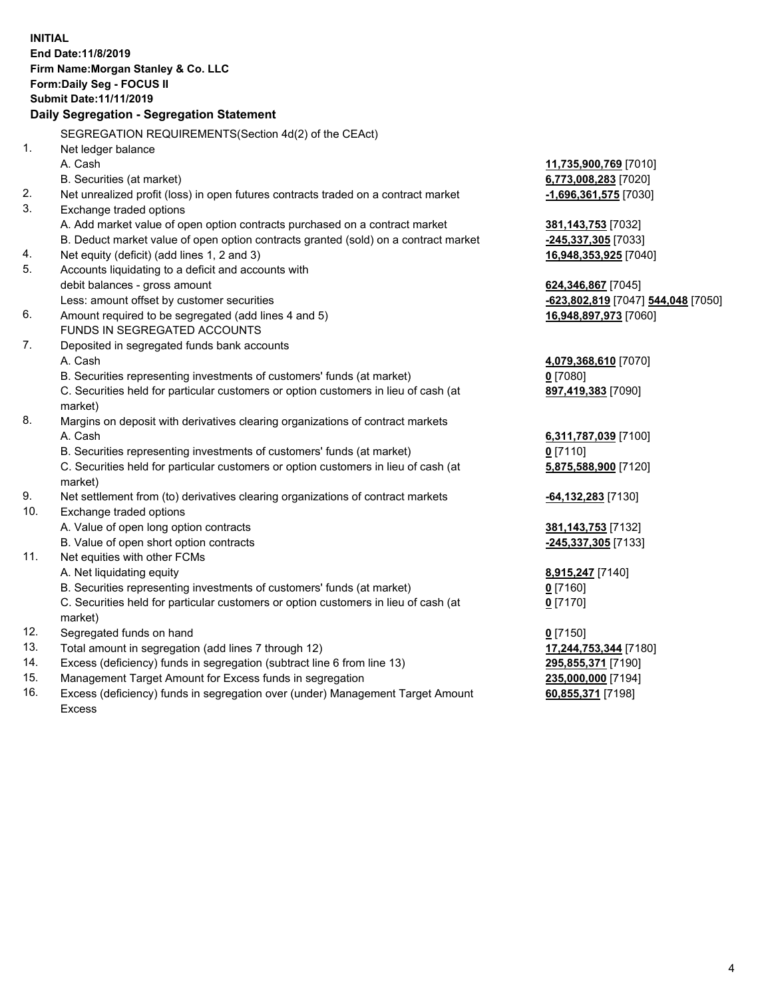**INITIAL End Date:11/8/2019 Firm Name:Morgan Stanley & Co. LLC Form:Daily Seg - FOCUS II Submit Date:11/11/2019 Daily Segregation - Segregation Statement** SEGREGATION REQUIREMENTS(Section 4d(2) of the CEAct) 1. Net ledger balance A. Cash **11,735,900,769** [7010] B. Securities (at market) **6,773,008,283** [7020] 2. Net unrealized profit (loss) in open futures contracts traded on a contract market **-1,696,361,575** [7030] 3. Exchange traded options A. Add market value of open option contracts purchased on a contract market **381,143,753** [7032] B. Deduct market value of open option contracts granted (sold) on a contract market **-245,337,305** [7033] 4. Net equity (deficit) (add lines 1, 2 and 3) **16,948,353,925** [7040] 5. Accounts liquidating to a deficit and accounts with debit balances - gross amount **624,346,867** [7045] Less: amount offset by customer securities **-623,802,819** [7047] **544,048** [7050] 6. Amount required to be segregated (add lines 4 and 5) **16,948,897,973** [7060] FUNDS IN SEGREGATED ACCOUNTS 7. Deposited in segregated funds bank accounts A. Cash **4,079,368,610** [7070] B. Securities representing investments of customers' funds (at market) **0** [7080] C. Securities held for particular customers or option customers in lieu of cash (at market) **897,419,383** [7090] 8. Margins on deposit with derivatives clearing organizations of contract markets A. Cash **6,311,787,039** [7100] B. Securities representing investments of customers' funds (at market) **0** [7110] C. Securities held for particular customers or option customers in lieu of cash (at market) **5,875,588,900** [7120] 9. Net settlement from (to) derivatives clearing organizations of contract markets **-64,132,283** [7130] 10. Exchange traded options A. Value of open long option contracts **381,143,753** [7132] B. Value of open short option contracts **-245,337,305** [7133] 11. Net equities with other FCMs A. Net liquidating equity **8,915,247** [7140] B. Securities representing investments of customers' funds (at market) **0** [7160] C. Securities held for particular customers or option customers in lieu of cash (at market) **0** [7170] 12. Segregated funds on hand **0** [7150] 13. Total amount in segregation (add lines 7 through 12) **17,244,753,344** [7180] 14. Excess (deficiency) funds in segregation (subtract line 6 from line 13) **295,855,371** [7190]

- 15. Management Target Amount for Excess funds in segregation **235,000,000** [7194]
- 16. Excess (deficiency) funds in segregation over (under) Management Target Amount Excess

**60,855,371** [7198]